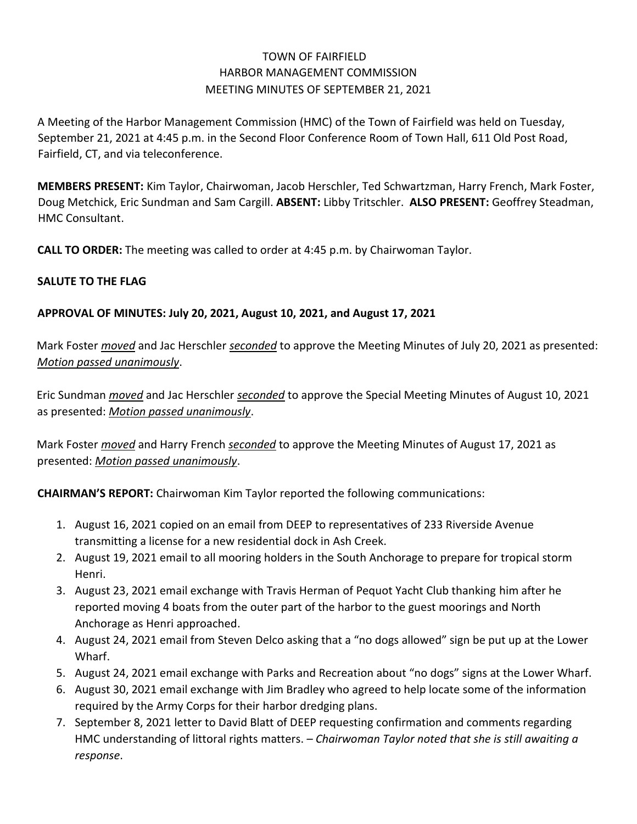# TOWN OF FAIRFIELD HARBOR MANAGEMENT COMMISSION MEETING MINUTES OF SEPTEMBER 21, 2021

A Meeting of the Harbor Management Commission (HMC) of the Town of Fairfield was held on Tuesday, September 21, 2021 at 4:45 p.m. in the Second Floor Conference Room of Town Hall, 611 Old Post Road, Fairfield, CT, and via teleconference.

**MEMBERS PRESENT:** Kim Taylor, Chairwoman, Jacob Herschler, Ted Schwartzman, Harry French, Mark Foster, Doug Metchick, Eric Sundman and Sam Cargill. **ABSENT:** Libby Tritschler. **ALSO PRESENT:** Geoffrey Steadman, HMC Consultant.

**CALL TO ORDER:** The meeting was called to order at 4:45 p.m. by Chairwoman Taylor.

## **SALUTE TO THE FLAG**

## **APPROVAL OF MINUTES: July 20, 2021, August 10, 2021, and August 17, 2021**

Mark Foster *moved* and Jac Herschler *seconded* to approve the Meeting Minutes of July 20, 2021 as presented: *Motion passed unanimously*.

Eric Sundman *moved* and Jac Herschler *seconded* to approve the Special Meeting Minutes of August 10, 2021 as presented: *Motion passed unanimously*.

Mark Foster *moved* and Harry French *seconded* to approve the Meeting Minutes of August 17, 2021 as presented: *Motion passed unanimously*.

**CHAIRMAN'S REPORT:** Chairwoman Kim Taylor reported the following communications:

- 1. August 16, 2021 copied on an email from DEEP to representatives of 233 Riverside Avenue transmitting a license for a new residential dock in Ash Creek.
- 2. August 19, 2021 email to all mooring holders in the South Anchorage to prepare for tropical storm Henri.
- 3. August 23, 2021 email exchange with Travis Herman of Pequot Yacht Club thanking him after he reported moving 4 boats from the outer part of the harbor to the guest moorings and North Anchorage as Henri approached.
- 4. August 24, 2021 email from Steven Delco asking that a "no dogs allowed" sign be put up at the Lower Wharf.
- 5. August 24, 2021 email exchange with Parks and Recreation about "no dogs" signs at the Lower Wharf.
- 6. August 30, 2021 email exchange with Jim Bradley who agreed to help locate some of the information required by the Army Corps for their harbor dredging plans.
- 7. September 8, 2021 letter to David Blatt of DEEP requesting confirmation and comments regarding HMC understanding of littoral rights matters. *– Chairwoman Taylor noted that she is still awaiting a response*.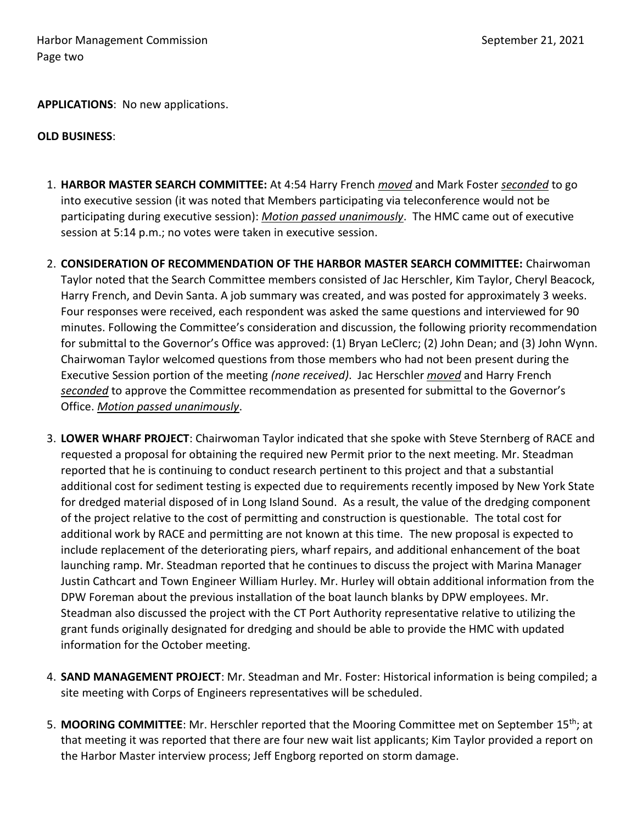**APPLICATIONS**: No new applications.

#### **OLD BUSINESS**:

- 1. **HARBOR MASTER SEARCH COMMITTEE:** At 4:54 Harry French *moved* and Mark Foster *seconded* to go into executive session (it was noted that Members participating via teleconference would not be participating during executive session): *Motion passed unanimously*. The HMC came out of executive session at 5:14 p.m.; no votes were taken in executive session.
- 2. **CONSIDERATION OF RECOMMENDATION OF THE HARBOR MASTER SEARCH COMMITTEE:** Chairwoman Taylor noted that the Search Committee members consisted of Jac Herschler, Kim Taylor, Cheryl Beacock, Harry French, and Devin Santa. A job summary was created, and was posted for approximately 3 weeks. Four responses were received, each respondent was asked the same questions and interviewed for 90 minutes. Following the Committee's consideration and discussion, the following priority recommendation for submittal to the Governor's Office was approved: (1) Bryan LeClerc; (2) John Dean; and (3) John Wynn. Chairwoman Taylor welcomed questions from those members who had not been present during the Executive Session portion of the meeting *(none received)*. Jac Herschler *moved* and Harry French *seconded* to approve the Committee recommendation as presented for submittal to the Governor's Office. *Motion passed unanimously*.
- 3. **LOWER WHARF PROJECT**: Chairwoman Taylor indicated that she spoke with Steve Sternberg of RACE and requested a proposal for obtaining the required new Permit prior to the next meeting. Mr. Steadman reported that he is continuing to conduct research pertinent to this project and that a substantial additional cost for sediment testing is expected due to requirements recently imposed by New York State for dredged material disposed of in Long Island Sound. As a result, the value of the dredging component of the project relative to the cost of permitting and construction is questionable. The total cost for additional work by RACE and permitting are not known at this time. The new proposal is expected to include replacement of the deteriorating piers, wharf repairs, and additional enhancement of the boat launching ramp. Mr. Steadman reported that he continues to discuss the project with Marina Manager Justin Cathcart and Town Engineer William Hurley. Mr. Hurley will obtain additional information from the DPW Foreman about the previous installation of the boat launch blanks by DPW employees. Mr. Steadman also discussed the project with the CT Port Authority representative relative to utilizing the grant funds originally designated for dredging and should be able to provide the HMC with updated information for the October meeting.
- 4. **SAND MANAGEMENT PROJECT**: Mr. Steadman and Mr. Foster: Historical information is being compiled; a site meeting with Corps of Engineers representatives will be scheduled.
- 5. **MOORING COMMITTEE**: Mr. Herschler reported that the Mooring Committee met on September 15th; at that meeting it was reported that there are four new wait list applicants; Kim Taylor provided a report on the Harbor Master interview process; Jeff Engborg reported on storm damage.